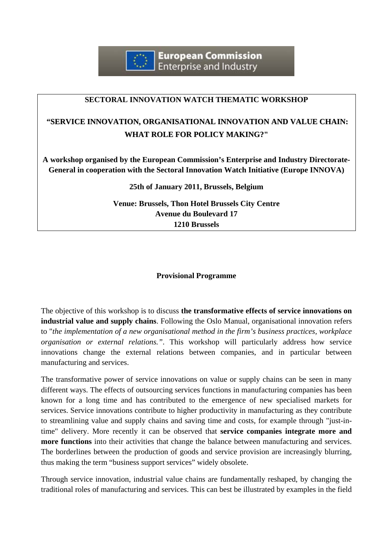

#### **SECTORAL INNOVATION WATCH THEMATIC WORKSHOP**

# **"SERVICE INNOVATION, ORGANISATIONAL INNOVATION AND VALUE CHAIN: WHAT ROLE FOR POLICY MAKING?"**

**A workshop organised by the European Commission's Enterprise and Industry Directorate-General in cooperation with the Sectoral Innovation Watch Initiative (Europe INNOVA)** 

### **25th of January 2011, Brussels, Belgium**

**Venue: Brussels, Thon Hotel Brussels City Centre Avenue du Boulevard 17 1210 Brussels** 

#### **Provisional Programme**

The objective of this workshop is to discuss **the transformative effects of service innovations on industrial value and supply chains**. Following the Oslo Manual, organisational innovation refers to "*the implementation of a new organisational method in the firm's business practices, workplace organisation or external relations."*. This workshop will particularly address how service innovations change the external relations between companies, and in particular between manufacturing and services.

The transformative power of service innovations on value or supply chains can be seen in many different ways. The effects of outsourcing services functions in manufacturing companies has been known for a long time and has contributed to the emergence of new specialised markets for services. Service innovations contribute to higher productivity in manufacturing as they contribute to streamlining value and supply chains and saving time and costs, for example through "just-intime" delivery. More recently it can be observed that **service companies integrate more and more functions** into their activities that change the balance between manufacturing and services. The borderlines between the production of goods and service provision are increasingly blurring, thus making the term "business support services" widely obsolete.

Through service innovation, industrial value chains are fundamentally reshaped, by changing the traditional roles of manufacturing and services. This can best be illustrated by examples in the field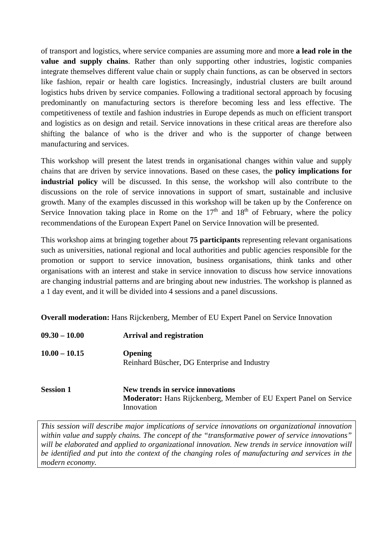of transport and logistics, where service companies are assuming more and more **a lead role in the value and supply chains**. Rather than only supporting other industries, logistic companies integrate themselves different value chain or supply chain functions, as can be observed in sectors like fashion, repair or health care logistics. Increasingly, industrial clusters are built around logistics hubs driven by service companies. Following a traditional sectoral approach by focusing predominantly on manufacturing sectors is therefore becoming less and less effective. The competitiveness of textile and fashion industries in Europe depends as much on efficient transport and logistics as on design and retail. Service innovations in these critical areas are therefore also shifting the balance of who is the driver and who is the supporter of change between manufacturing and services.

This workshop will present the latest trends in organisational changes within value and supply chains that are driven by service innovations. Based on these cases, the **policy implications for industrial policy** will be discussed. In this sense, the workshop will also contribute to the discussions on the role of service innovations in support of smart, sustainable and inclusive growth. Many of the examples discussed in this workshop will be taken up by the Conference on Service Innovation taking place in Rome on the  $17<sup>th</sup>$  and  $18<sup>th</sup>$  of February, where the policy recommendations of the European Expert Panel on Service Innovation will be presented.

This workshop aims at bringing together about **75 participants** representing relevant organisations such as universities, national regional and local authorities and public agencies responsible for the promotion or support to service innovation, business organisations, think tanks and other organisations with an interest and stake in service innovation to discuss how service innovations are changing industrial patterns and are bringing about new industries. The workshop is planned as a 1 day event, and it will be divided into 4 sessions and a panel discussions.

**Overall moderation:** Hans Rijckenberg, Member of EU Expert Panel on Service Innovation

| $09.30 - 10.00$  | <b>Arrival and registration</b>                                                      |
|------------------|--------------------------------------------------------------------------------------|
| $10.00 - 10.15$  | <b>Opening</b><br>Reinhard Büscher, DG Enterprise and Industry                       |
| <b>Session 1</b> | New trends in service innovations<br>17 July 17 D'1 July 1<br>$c \nleftrightarrow r$ |

**Moderator:** Hans Rijckenberg, Member of EU Expert Panel on Service Innovation

*This session will describe major implications of service innovations on organizational innovation within value and supply chains. The concept of the "transformative power of service innovations" will be elaborated and applied to organizational innovation. New trends in service innovation will be identified and put into the context of the changing roles of manufacturing and services in the modern economy.*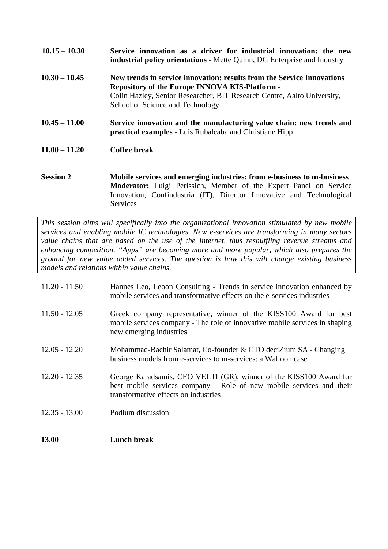| $10.15 - 10.30$ | Service innovation as a driver for industrial innovation: the new<br><b>industrial policy orientations - Mette Quinn, DG Enterprise and Industry</b>                                                                                           |
|-----------------|------------------------------------------------------------------------------------------------------------------------------------------------------------------------------------------------------------------------------------------------|
| $10.30 - 10.45$ | New trends in service innovation: results from the Service Innovations<br><b>Repository of the Europe INNOVA KIS-Platform -</b><br>Colin Hazley, Senior Researcher, BIT Research Centre, Aalto University,<br>School of Science and Technology |
| $10.45 - 11.00$ | Service innovation and the manufacturing value chain: new trends and<br><b>practical examples - Luis Rubalcaba and Christiane Hipp</b>                                                                                                         |
| $11.00 - 11.20$ | Coffee break                                                                                                                                                                                                                                   |
|                 |                                                                                                                                                                                                                                                |

**Session 2 Mobile services and emerging industries: from e-business to m-business Moderator:** Luigi Perissich, Member of the Expert Panel on Service Innovation, Confindustria (IT), Director Innovative and Technological Services

*This session aims will specifically into the organizational innovation stimulated by new mobile services and enabling mobile IC technologies. New e-services are transforming in many sectors value chains that are based on the use of the Internet, thus reshuffling revenue streams and enhancing competition. "Apps" are becoming more and more popular, which also prepares the ground for new value added services. The question is how this will change existing business models and relations within value chains.* 

| 13.00           | <b>Lunch break</b>                                                                                                                                                                 |
|-----------------|------------------------------------------------------------------------------------------------------------------------------------------------------------------------------------|
| $12.35 - 13.00$ | Podium discussion                                                                                                                                                                  |
| $12.20 - 12.35$ | George Karadsamis, CEO VELTI (GR), winner of the KISS100 Award for<br>best mobile services company - Role of new mobile services and their<br>transformative effects on industries |
| $12.05 - 12.20$ | Mohammad-Bachir Salamat, Co-founder & CTO deciZium SA - Changing<br>business models from e-services to m-services: a Walloon case                                                  |
| $11.50 - 12.05$ | Greek company representative, winner of the KISS100 Award for best<br>mobile services company - The role of innovative mobile services in shaping<br>new emerging industries       |
| $11.20 - 11.50$ | Hannes Leo, Leoon Consulting - Trends in service innovation enhanced by<br>mobile services and transformative effects on the e-services industries                                 |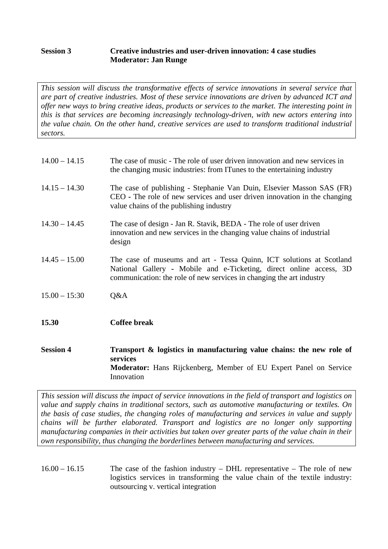## **Session 3 Creative industries and user-driven innovation: 4 case studies Moderator: Jan Runge**

*This session will discuss the transformative effects of service innovations in several service that are part of creative industries. Most of these service innovations are driven by advanced ICT and offer new ways to bring creative ideas, products or services to the market. The interesting point in this is that services are becoming increasingly technology-driven, with new actors entering into the value chain. On the other hand, creative services are used to transform traditional industrial sectors.* 

| <b>Session 4</b> | Transport & logistics in manufacturing value chains: the new role of<br>services<br><b>Moderator:</b> Hans Rijckenberg, Member of EU Expert Panel on Service<br>Innovation                                          |
|------------------|---------------------------------------------------------------------------------------------------------------------------------------------------------------------------------------------------------------------|
| 15.30            | <b>Coffee break</b>                                                                                                                                                                                                 |
| $15.00 - 15:30$  | Q&A                                                                                                                                                                                                                 |
| $14.45 - 15.00$  | The case of museums and art - Tessa Quinn, ICT solutions at Scotland<br>National Gallery - Mobile and e-Ticketing, direct online access, 3D<br>communication: the role of new services in changing the art industry |
| $14.30 - 14.45$  | The case of design - Jan R. Stavik, BEDA - The role of user driven<br>innovation and new services in the changing value chains of industrial<br>design                                                              |
| $14.15 - 14.30$  | The case of publishing - Stephanie Van Duin, Elsevier Masson SAS (FR)<br>CEO - The role of new services and user driven innovation in the changing<br>value chains of the publishing industry                       |
| $14.00 - 14.15$  | The case of music - The role of user driven innovation and new services in<br>the changing music industries: from ITunes to the entertaining industry                                                               |

*This session will discuss the impact of service innovations in the field of transport and logistics on value and supply chains in traditional sectors, such as automotive manufacturing or textiles. On the basis of case studies, the changing roles of manufacturing and services in value and supply chains will be further elaborated. Transport and logistics are no longer only supporting manufacturing companies in their activities but taken over greater parts of the value chain in their own responsibility, thus changing the borderlines between manufacturing and services.* 

16.00 – 16.15 The case of the fashion industry – DHL representative – The role of new logistics services in transforming the value chain of the textile industry: outsourcing v. vertical integration